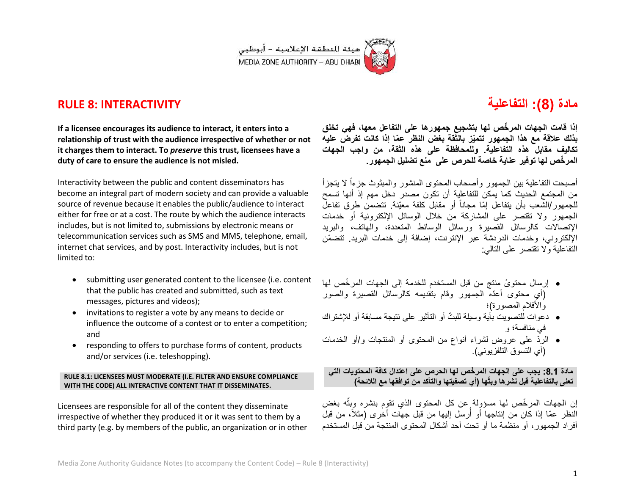

## **RULE 8: INTERACTIVITY**

### **If a licensee encourages its audience to interact, it enters into a relationship of trust with the audience irrespective of whether or not it charges them to interact. To** *preserve* **this trust, licensees have a duty of care to ensure the audience is not misled.**

Interactivity between the public and content disseminators has become an integral part of modern society and can provide a valuable source of revenue because it enables the public/audience to interact either for free or at a cost. The route by which the audience interacts includes, but is not limited to, submissions by electronic means or telecommunication services such as SMS and MMS, telephone, email, internet chat services, and by post. Interactivity includes, but is not limited to:

- submitting user generated content to the licensee (i.e. content that the public has created and submitted, such as text messages, pictures and videos);
- invitations to register a vote by any means to decide or influence the outcome of a contest or to enter a competition; and
- responding to offers to purchase forms of content, products and/or services (i.e. teleshopping).

### **RULE 8.1: LICENSEES MUST MODERATE (I.E. FILTER AND ENSURE COMPLIANCE WITH THE CODE) ALL INTERACTIVE CONTENT THAT IT DISSEMINATES.**

Licensees are responsible for all of the content they disseminate irrespective of whether they produced it or it was sent to them by a third party (e.g. by members of the public, an organization or in other

# **مادة )8(: التفاعلٌة**

**إذا قامت الجهات المر ّخص لها بتشجٌع جمهورها على التفاعل معها، فهً تخلق بذلك عالقة مع هذا الجمهور تتمٌّز بالثقة بغض النظر ع ّما إذا كانت تفرض علٌه تكالٌف مقابل هذه التفاعلٌة. وللمحافظة على هذه الثقة، من واجب الجهات المر ّخص لها توفٌر عناٌة خاصة للحرص على منع تضلٌل الجمهور.**

أصبحت التفاعلية بين الجمهور وأصحاب المحتوى المنشور والمبثوث جزءاً لا يتجزأ من المجتمع الحديث كما يمكن للتفاعلية أن تكون مصدر دخل مهم إذ أنها تسمح للجمهور/الشُّعب بأن يتفاعل إمّا مجاناً أو مقابل كلفة معيّنة. تتضمن طرق تفاعلُ الجمهور ولا تقتصر على المشاركة من خلال الوسائل الإلكترونية أو خدمات الإتصالات كالرسائل القصيرة ورسائل الوسائط المتعددة، والهاتف، والبريد اإللكترون،ً وخدمات الدردشة عبر اإلنترنت، إضافة إلى خدمات البرٌد. تتضمّن التفاعلية والا تقتصر على التالي:

- إرسال محتو ًى منتج من قبل المستخدم للخدمة إلى الجهات المر ّخص لها )أي محتوى أعّده الجمهور وقام بتقدٌمه كالرسائل القصٌرة والصور والأفلام المصورة)؛
- دعوات للتصويت بأية وسيلة للبتّ أو التأثير على نتيجة مسابقة أو للإشتراك في منافسة؛ و
- الرّد على عروض لشراء أنواع من المحتوى أو المنتجات و/أو الخدمات (أي التسوق التلفزيوني).

**مادة :8.8 ٌجب على الجهات المر ّخص لها الحرص على اعتدال كافة المحتوٌات التً تعنى بالتفاعلٌة قبل نشرها وبث توافقها مع الالئحة( ّها )أي تصفٌتها والتأكد من**

إن الجهات المرخّص لها مسؤولة عن كل المحتوى الذي تقوم بنشره وبثّه بغض **:** النظر عمّا إذا كان من إنتاجها أو أُرسل إليها من قبل جهات أخرى (مثلاً، من قبل ر<br>ا أفراد الجمهور، أو منظمة ما أو تحت أحد أشكال المحتوى المنتجة من قبل المستخدم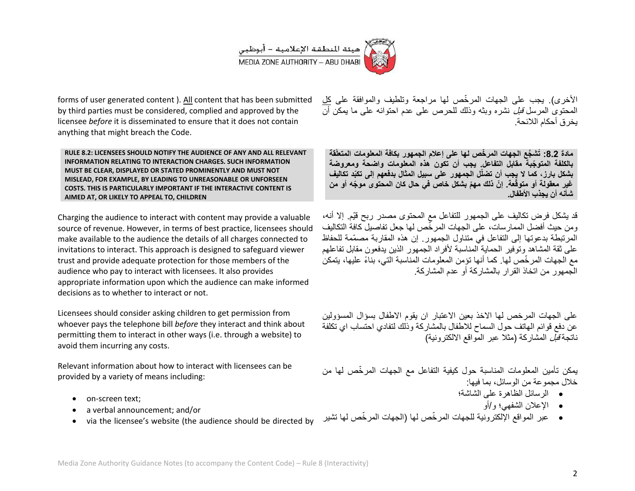

forms of user generated content ). All content that has been submitted by third parties must be considered, complied and approved by the licensee *before* it is disseminated to ensure that it does not contain anything that might breach the Code.

**RULE 8.2: LICENSEES SHOULD NOTIFY THE AUDIENCE OF ANY AND ALL RELEVANT INFORMATION RELATING TO INTERACTION CHARGES. SUCH INFORMATION MUST BE CLEAR, DISPLAYED OR STATED PROMINENTLY AND MUST NOT MISLEAD, FOR EXAMPLE, BY LEADING TO UNREASONABLE OR UNFORSEEN COSTS. THIS IS PARTICULARLY IMPORTANT IF THE INTERACTIVE CONTENT IS AIMED AT, OR LIKELY TO APPEAL TO, CHILDREN**

Charging the audience to interact with content may provide a valuable source of revenue. However, in terms of best practice, licensees should make available to the audience the details of all charges connected to invitations to interact. This approach is designed to safeguard viewer trust and provide adequate protection for those members of the audience who pay to interact with licensees. It also provides appropriate information upon which the audience can make informed decisions as to whether to interact or not.

Licensees should consider asking children to get permission from whoever pays the telephone bill *before* they interact and think about permitting them to interact in other ways (i.e. through a website) to avoid them incurring any costs.

Relevant information about how to interact with licensees can be provided by a variety of means including:

- on-screen text;
- a verbal announcement; and/or
- via the licensee's website (the audience should be directed by

الأخرى). يجب على الجهات المرخّص لها مراجعة وتلطيف والموافقة على كل المحتوى المرسل *قبل* نشره وبثه وذلك للحرص على عدم احتوائه على ما يمكن أن بخر ق أحكام اللائحة.

**مادة :8.8 ُتش َّجع الجهات المر ّخص لها على إعالم الجمهور بكافة المعلومات المتعلّقة بالكلفة المتو ّجبة مقابل التفاعل. ٌجب أن تكون هذه المعلومات واضحة ومعروضة بشكل بارز، كما ال ٌجب أن تضلّل الجمهور على سبٌل المثال بدفعهم إلى تكّبد تكالٌف عة. إ ّن ذلك مه ّم بشكل خاص فً حال كان المحتوى مو ّجه غٌر معقولة أو متوق أو من ّ شأنه أن ٌجذب األطفال.**

قد يشكل فرض تكاليف على الجمهور للتفاعل مع المحتوى مصدر ربح قيّم. إلا أنه، ومن حيث أفضل الممار سات، على الجهات المر خّص لها جعل تفاصيل كافة التكاليف المرتبطة بدعوتها إلى التفاعل في متناول الجمهور. إن هذه المقاربة مصمّمة للحفاظ على ثقة المشاهد وتوفير الحماية المناسبة لأفراد الجمهور الذين يدفعون مقابل تفاعلهم مع الجهات المر خّص لها. كما أنها تؤمن المعلومات المناسبة التي، بناءً عليها، يتمكن الجمهور من اتخاذ القرار بالمشاركة أو عدم المشاركة.

على الجهات المر خص لها الاخذ بعين الاعتبار ان يقوم الاطفال بسؤال المسؤولين عن دفع قوائم الهاتف حول السماح لالطفال بالمشاركة وذلك لتفادي احتساب اي تكلفة ناتجة *قبل* المشاركة (مثلا عبر المواقع الالكترونية)

يمكن تأمين المعلومات المناسبة حول كيفية التفاعل مع الجهات المرخّص لها من خلال مجمو عة من الوسائل، بما فبها:

- الرسائل الظاهرة على الشاشة؛
	- اإلعالن الشفهً؛ و/أو
- عبر المواقع اإللكترونٌة للجهات المر ّخص لها )الجهات المر ّخص لها تشٌر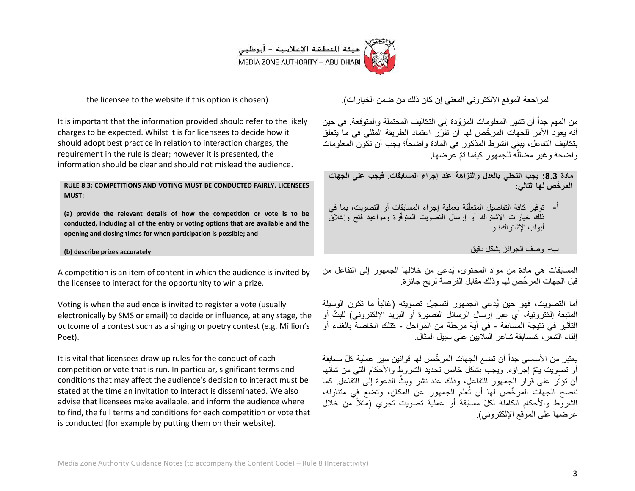

the licensee to the website if this option is chosen)

It is important that the information provided should refer to the likely charges to be expected. Whilst it is for licensees to decide how it should adopt best practice in relation to interaction charges, the requirement in the rule is clear; however it is presented, the information should be clear and should not mislead the audience.

**RULE 8.3: COMPETITIONS AND VOTING MUST BE CONDUCTED FAIRLY. LICENSEES MUST:**

**(a) provide the relevant details of how the competition or vote is to be conducted, including all of the entry or voting options that are available and the opening and closing times for when participation is possible; and**

#### **(b) describe prizes accurately**

A competition is an item of content in which the audience is invited by the licensee to interact for the opportunity to win a prize.

Voting is when the audience is invited to register a vote (usually electronically by SMS or email) to decide or influence, at any stage, the outcome of a contest such as a singing or poetry contest (e.g. Million's Poet).

It is vital that licensees draw up rules for the conduct of each competition or vote that is run. In particular, significant terms and conditions that may affect the audience's decision to interact must be stated at the time an invitation to interact is disseminated. We also advise that licensees make available, and inform the audience where to find, the full terms and conditions for each competition or vote that is conducted (for example by putting them on their website).

لمراجعة الموقع الإلكتروني المعنى إن كان ذلك من ضمن الخيارات).

من المهم جداً أن تشير المعلومات المزوّدة إلى التكاليف المحتملة والمتوقعة. في حين أنه بعود الأمر للجهات المر خّص لها أن تقرّر اعتماد الطربقة المثلى في ما بتعلق بتكاليف التفاعل، ببقى الشرط المذكور في المادة واضحاً؛ يجب أن تكون المعلومات واضحة وغير مضللة للجمهور كيفما تمّ عرضها. j

**مادة :8.8 ٌجب التحلً بالعدل والنزاهة عند إجراء المسابقات. فٌجب على الجهات المر ّخص لها التال:ً**

أ- توفير كافة التفاصيل المتعلّقة بعملية إجراء المسابقات أو التصويت، بما في أ ذلك خبارات الإشتراك أو إرسال التصوبت المتوفّرة ومواعيد فتح وإغلاق أبواب اإلشتراك؛ و

ب- وصف الجوائز بشكل دقٌق

المسابقات هي مادة من مواد المحتوى، يُدعى من خلالها الجمهور إلى التفاعل من قبل الجهات المر ّخص لها وذلك مقابل الفرصة لربح جائزة.

أما التصويت، فهو حين يُدعى الجمهور لتسجيل تصويته (غالباً ما تكون الوسيلة المتبعة إلكترونية، أي عبر إرسال الرسائل القصيرة أو البريد الإلكتروني) للبتّ أو التأثير ًفي نتيجة المسابقة - في أية مرحلة من المراحل - كتلك الخاصة بالغناء أو إلقاء الشعر، كمسابقة شاعر المالٌٌن على سبٌل المثال.

يعتبر من الأساسي جداً أن تضع الجهات المرخّص لها قوانين سير عملية كلّ مسابقة أو تصويت بنمّ إجراؤه. ويجب بشكل خاص تحديد الشروط والأحكام التي من شأنها أن تؤثّر على قرار الجمهور للتفاعل، وذلك عند نشر وبثّ الدعوة إلٰى الُّتفاعل كما ننصح الجهات المر ّخص لها أن تُعلم الجمهور عن المكان، وتضع فً متناوله، الشروط والأحكام الكاملة لكلّ مسابقة أو عملية تصويت تجري (مثلاً من خلال عر ضبها على الموقع الإلكتر وني).